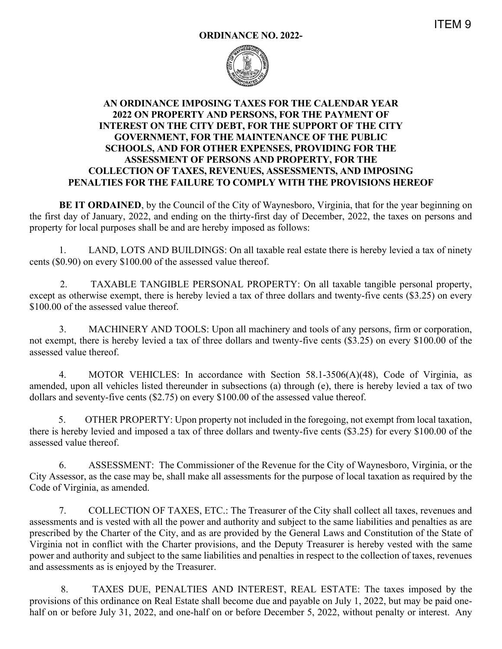

## **AN ORDINANCE IMPOSING TAXES FOR THE CALENDAR YEAR 2022 ON PROPERTY AND PERSONS, FOR THE PAYMENT OF INTEREST ON THE CITY DEBT, FOR THE SUPPORT OF THE CITY GOVERNMENT, FOR THE MAINTENANCE OF THE PUBLIC SCHOOLS, AND FOR OTHER EXPENSES, PROVIDING FOR THE ASSESSMENT OF PERSONS AND PROPERTY, FOR THE COLLECTION OF TAXES, REVENUES, ASSESSMENTS, AND IMPOSING PENALTIES FOR THE FAILURE TO COMPLY WITH THE PROVISIONS HEREOF**

**BE IT ORDAINED**, by the Council of the City of Waynesboro, Virginia, that for the year beginning on the first day of January, 2022, and ending on the thirty-first day of December, 2022, the taxes on persons and property for local purposes shall be and are hereby imposed as follows:

 1. LAND, LOTS AND BUILDINGS: On all taxable real estate there is hereby levied a tax of ninety cents (\$0.90) on every \$100.00 of the assessed value thereof.

 2. TAXABLE TANGIBLE PERSONAL PROPERTY: On all taxable tangible personal property, except as otherwise exempt, there is hereby levied a tax of three dollars and twenty-five cents (\$3.25) on every \$100.00 of the assessed value thereof.

 3. MACHINERY AND TOOLS: Upon all machinery and tools of any persons, firm or corporation, not exempt, there is hereby levied a tax of three dollars and twenty-five cents (\$3.25) on every \$100.00 of the assessed value thereof.

4. MOTOR VEHICLES: In accordance with Section 58.1-3506(A)(48), Code of Virginia, as amended, upon all vehicles listed thereunder in subsections (a) through (e), there is hereby levied a tax of two dollars and seventy-five cents (\$2.75) on every \$100.00 of the assessed value thereof.

 5. OTHER PROPERTY: Upon property not included in the foregoing, not exempt from local taxation, there is hereby levied and imposed a tax of three dollars and twenty-five cents (\$3.25) for every \$100.00 of the assessed value thereof.

 6. ASSESSMENT: The Commissioner of the Revenue for the City of Waynesboro, Virginia, or the City Assessor, as the case may be, shall make all assessments for the purpose of local taxation as required by the Code of Virginia, as amended.

 7. COLLECTION OF TAXES, ETC.: The Treasurer of the City shall collect all taxes, revenues and assessments and is vested with all the power and authority and subject to the same liabilities and penalties as are prescribed by the Charter of the City, and as are provided by the General Laws and Constitution of the State of Virginia not in conflict with the Charter provisions, and the Deputy Treasurer is hereby vested with the same power and authority and subject to the same liabilities and penalties in respect to the collection of taxes, revenues and assessments as is enjoyed by the Treasurer.

 8. TAXES DUE, PENALTIES AND INTEREST, REAL ESTATE: The taxes imposed by the provisions of this ordinance on Real Estate shall become due and payable on July 1, 2022, but may be paid onehalf on or before July 31, 2022, and one-half on or before December 5, 2022, without penalty or interest. Any